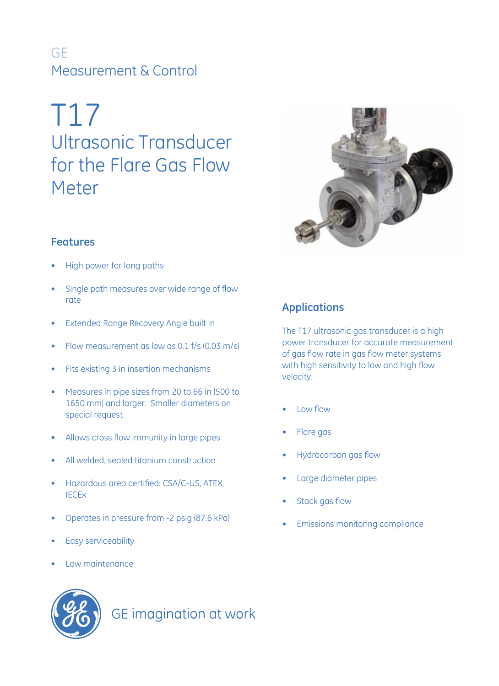# GE Measurement & Control

# T17 Ultrasonic Transducer for the Flare Gas Flow Meter



## **Features**

- High power for long paths
- Single path measures over wide range of flow rate
- • Extended Range Recovery Angle built in
- Flow measurement as low as 0.1  $f/s$  (0.03 m/s)
- • Fits existing 3 in insertion mechanisms
- • Measures in pipe sizes from 20 to 66 in (500 to 1650 mm) and larger. Smaller diameters on special request
- Allows cross flow immunity in large pipes
- All welded, sealed titanium construction
- • Hazardous area certified: CSA/C-US, ATEX, **IECE<sub>x</sub>**
- • Operates in pressure from -2 psig (87.6 kPa)
- Easy serviceability
- Low maintenance

**GE** imagination at work

# **Applications**

The T17 ultrasonic gas transducer is a high power transducer for accurate measurement of gas flow rate in gas flow meter systems with high sensitivity to low and high flow velocity.

- Low flow
- Flare gas
- Hydrocarbon gas flow
- Large diameter pipes
- Stack gas flow
- **Emissions monitoring compliance**